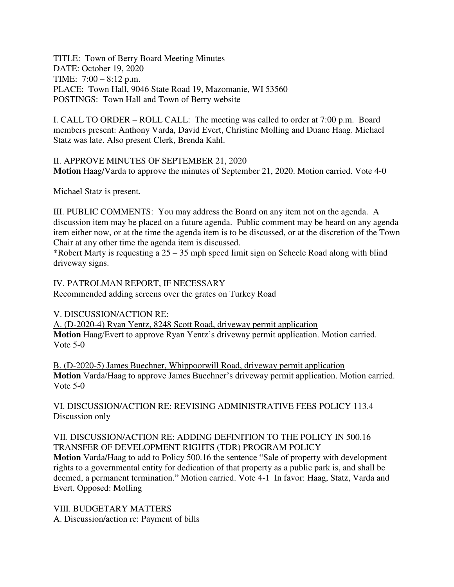TITLE: Town of Berry Board Meeting Minutes DATE: October 19, 2020 TIME: 7:00 – 8:12 p.m. PLACE: Town Hall, 9046 State Road 19, Mazomanie, WI 53560 POSTINGS: Town Hall and Town of Berry website

I. CALL TO ORDER – ROLL CALL: The meeting was called to order at 7:00 p.m. Board members present: Anthony Varda, David Evert, Christine Molling and Duane Haag. Michael Statz was late. Also present Clerk, Brenda Kahl.

II. APPROVE MINUTES OF SEPTEMBER 21, 2020 **Motion** Haag/Varda to approve the minutes of September 21, 2020. Motion carried. Vote 4-0

Michael Statz is present.

III. PUBLIC COMMENTS: You may address the Board on any item not on the agenda. A discussion item may be placed on a future agenda. Public comment may be heard on any agenda item either now, or at the time the agenda item is to be discussed, or at the discretion of the Town Chair at any other time the agenda item is discussed.

\*Robert Marty is requesting a 25 – 35 mph speed limit sign on Scheele Road along with blind driveway signs.

IV. PATROLMAN REPORT, IF NECESSARY

Recommended adding screens over the grates on Turkey Road

V. DISCUSSION/ACTION RE:

A. (D-2020-4) Ryan Yentz, 8248 Scott Road, driveway permit application **Motion** Haag/Evert to approve Ryan Yentz's driveway permit application. Motion carried. Vote 5-0

B. (D-2020-5) James Buechner, Whippoorwill Road, driveway permit application **Motion** Varda/Haag to approve James Buechner's driveway permit application. Motion carried. Vote 5-0

VI. DISCUSSION/ACTION RE: REVISING ADMINISTRATIVE FEES POLICY 113.4 Discussion only

## VII. DISCUSSION/ACTION RE: ADDING DEFINITION TO THE POLICY IN 500.16 TRANSFER OF DEVELOPMENT RIGHTS (TDR) PROGRAM POLICY

**Motion** Varda/Haag to add to Policy 500.16 the sentence "Sale of property with development rights to a governmental entity for dedication of that property as a public park is, and shall be deemed, a permanent termination." Motion carried. Vote 4-1 In favor: Haag, Statz, Varda and Evert. Opposed: Molling

VIII. BUDGETARY MATTERS A. Discussion/action re: Payment of bills